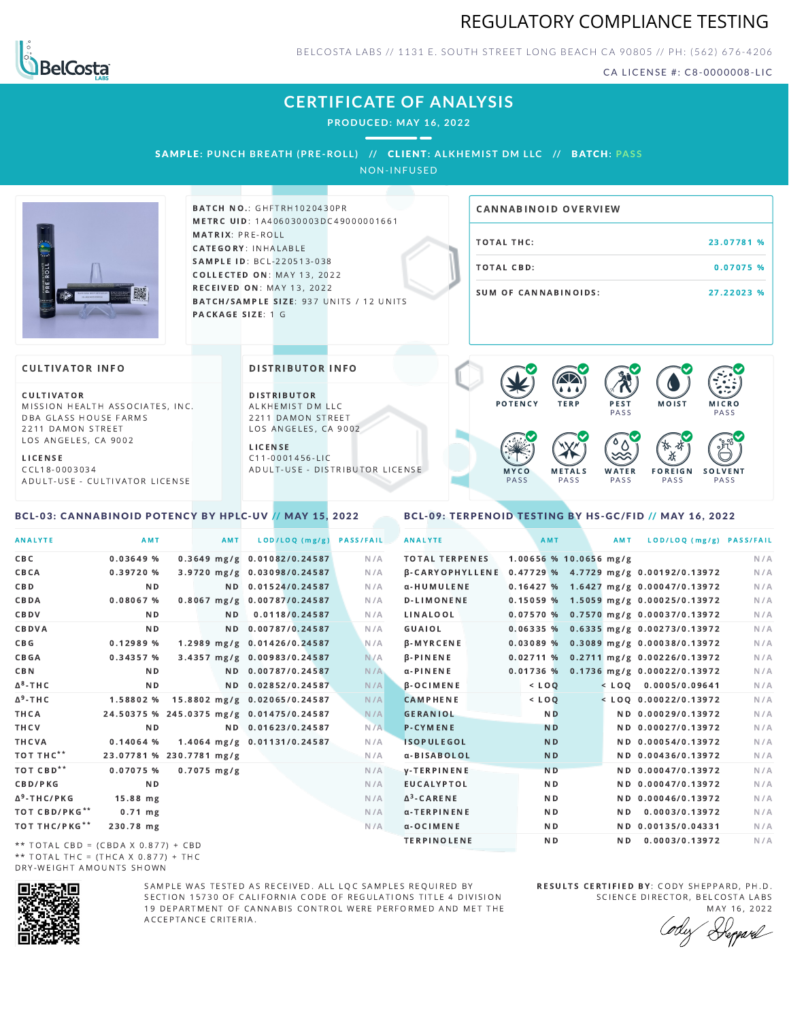



BELCOSTA LABS // 1131 E. SOUTH STREET LONG BEACH C A 90805 // PH: (562) 676-4206

CA LICENSE #: C8-0000008-LIC

# **CERTIFICATE OF ANALYSIS**

**PRODUCED: MAY 16, 2022**

SAMPLE: PUNCH BREATH (PRE-ROLL) // CLIENT: ALKHEMIST DM LLC // BATCH: PASS

NON-INFUSED



**BATCH NO.: GHFTRH1020430PR** METRC UID: 1A406030003DC49000001661 MATRIX: PRE-ROLL CATEGORY: INHALABLE SAMPLE ID: BCL-220513-038 COLLECTED ON: MAY 13, 2022 **RECEIVED ON: MAY 13, 2022** BATCH/SAMPLE SIZE: 937 UNITS / 12 UNITS PACKAGE SIZE: 1 G

# TOTAL THC: 23.07781 % TOTAL CBD: 0.07075 % SUM OF CANNABINOIDS: 27.22023 % CANNABINOID OVERVIEW

### **CULTIVATOR INFO**

CULTIVATOR MISSION HEALTH ASSOCIATES, INC. DBA GLASS HOUSE FARMS 2211 DAMON STREET LOS ANGELES, CA 9002

L I C E N S E C C L 1 8 - 0 0 0 3 0 3 4 A D U L T - U S E - C U L T I V A T O R L I CENSE

<span id="page-0-0"></span>BCL-03: CANNABINOID POTENCY BY HPLC-UV // MAY 15, 2022

DISTRIBUTOR INFO

D I STRIBUTOR ALKHEMIST DM LLC 2211 DAMON STREET LOS ANGELES, CA 9002 L I C E N S E

C 1 1 - 0 0 0 1 4 5 6 - L I C A D U L T - U S E - D I STRI B U T O R LICENSE



<span id="page-0-1"></span>BCL-09: TERPENOID TESTING BY HS-GC/FID // MAY 16, 2022

| <b>ANALYTE</b>                      | AMT                                      | AMT           | LOD/LOQ (mg/g)               | <b>PASS/FAIL</b> | <b>ANALYTE</b>        | AMT       |                        | AMT            | LOD/LOQ (mg/g) PASS/FAIL                              |     |
|-------------------------------------|------------------------------------------|---------------|------------------------------|------------------|-----------------------|-----------|------------------------|----------------|-------------------------------------------------------|-----|
| C B C                               | 0.03649%                                 |               | 0.3649 mg/g 0.01082/0.24587  | N/A              | <b>TOTAL TERPENES</b> |           | 1.00656 % 10.0656 mg/g |                |                                                       | N/A |
| CBCA                                | 0.39720%                                 |               | 3.9720 mg/g 0.03098/0.24587  | N/A              |                       |           |                        |                | β-CARYOPHYLLENE 0.47729 % 4.7729 mg/g 0.00192/0.13972 | N/A |
| C B D                               | N <sub>D</sub>                           |               | ND 0.01524/0.24587           | N/A              | α-HUMULENE            |           |                        |                | $0.16427$ % 1.6427 mg/g 0.00047/0.13972               | N/A |
| CBDA                                | 0.08067%                                 |               | 0.8067 mg/g 0.00787/0.24587  | N/A              | <b>D-LIMONENE</b>     |           |                        |                | 0.15059 % 1.5059 mg/g 0.00025/0.13972                 | N/A |
| CBDV                                | ND.                                      | ND.           | 0.0118/0.24587               | N/A              | LINALOOL              |           |                        |                | $0.07570$ % 0.7570 mg/g 0.00037/0.13972               | N/A |
| CBDVA                               | N <sub>D</sub>                           |               | ND 0.00787/0.24587           | N/A              | GUAIOL                |           |                        |                | $0.06335\%$ 0.6335 mg/g 0.00273/0.13972               | N/A |
| C B G                               | 0.12989 %                                |               | 1.2989 mg/g 0.01426/0.24587  | N/A              | <b>B-MYRCENE</b>      |           |                        |                | $0.03089$ % 0.3089 mg/g 0.00038/0.13972               | N/A |
| <b>CBGA</b>                         | 0.34357 %                                |               | 3.4357 mg/g 0.00983/0.24587  | N/A              | $\beta$ -PINENE       |           |                        |                | $0.02711$ % 0.2711 mg/g 0.00226/0.13972               | N/A |
| C B N                               | ND.                                      |               | ND 0.00787/0.24587           | N/A              | $\alpha$ -PINENE      |           |                        |                | 0.01736 % 0.1736 mg/g 0.00022/0.13972                 | N/A |
| ∆ <sup>8</sup> -ТНС                 | N D                                      |               | ND 0.02852/0.24587           | N/A              | $\beta$ -OCIMENE      | $<$ $LOQ$ |                        |                | $<$ LOQ 0.0005/0.09641                                | N/A |
| Δ <sup>9</sup> -ТНС                 | 1.58802 %                                |               | 15.8802 mg/g 0.02065/0.24587 | N/A              | <b>CAMPHENE</b>       | $<$ LOQ   |                        |                | $<$ LOQ 0.00022/0.13972                               | N/A |
| ТНСА                                | 24.50375 % 245.0375 mg/g 0.01475/0.24587 |               |                              | N/A              | <b>GERANIOL</b>       |           | N <sub>D</sub>         |                | ND 0.00029/0.13972                                    | N/A |
| THCV                                | N <sub>D</sub>                           |               | ND 0.01623/0.24587           | N/A              | <b>P-CYMENE</b>       |           | <b>ND</b>              |                | ND 0.00027/0.13972                                    | N/A |
| THCVA                               | $0.14064$ %                              |               | 1.4064 mg/g 0.01131/0.24587  | N/A              | <b>ISOPULEGOL</b>     |           | <b>ND</b>              |                | ND 0.00054/0.13972                                    | N/A |
| тот тнс**                           | 23.07781 % 230.7781 mg/g                 |               |                              | N/A              | α-BISABOLOL           |           | <b>ND</b>              |                | ND 0.00436/0.13972                                    | N/A |
| ТОТ СВD**                           | 0.07075 %                                | $0.7075$ mg/g |                              | N/A              | <b>V-TERPINENE</b>    |           | <b>ND</b>              |                | ND 0.00047/0.13972                                    | N/A |
| <b>CBD/PKG</b>                      | N <sub>D</sub>                           |               |                              | N/A              | <b>EUCALYPTOL</b>     |           | N <sub>D</sub>         |                | ND 0.00047/0.13972                                    | N/A |
| Δ <sup>9</sup> -THC/PKG             | $15.88$ mg                               |               |                              | N/A              | $\Delta^3$ -CARENE    |           | N <sub>D</sub>         |                | ND 0.00046/0.13972                                    | N/A |
| ТОТ СВD/РКG**                       | $0.71$ mg                                |               |                              | N/A              | α-TERPINENE           |           | ND.                    | ND.            | 0.0003/0.13972                                        | N/A |
| ТОТ ТНС/РКG**                       | 230.78 mg                                |               |                              | N/A              | a-OCIMENE             |           | N <sub>D</sub>         |                | ND 0.00135/0.04331                                    | N/A |
| ** IOIAL CRD - (CRDA V 0 077) L CRD |                                          |               |                              |                  | <b>TERPINOLENE</b>    |           | N <sub>D</sub>         | N <sub>D</sub> | 0.0003/0.13972                                        | N/A |

\*\* TOTAL CBD = (CBDA X 0.877) + CBD \*\* TOTAL THC =  $(THCA \times 0.877) + THC$ DRY-WEIGHT AMOUNTS SHOWN



SAMPLE WAS TESTED AS RECEIVED. ALL LOC SAMPLES REQUIRED BY SECTION 15730 OF CALIFORNIA CODE OF REGULATIONS TITLE 4 DIVISION 19 DEPARTMENT OF CANNABIS CONTROL WERE PERFORMED AND MET THE A C C E P T A N C E C R I T E R I A.

RESULTS CERTIFIED BY: CODY SHEPPARD, PH.D. SCIENCE DIRECTOR, BELCOSTA LABS

MAY 16, 2022 Heppard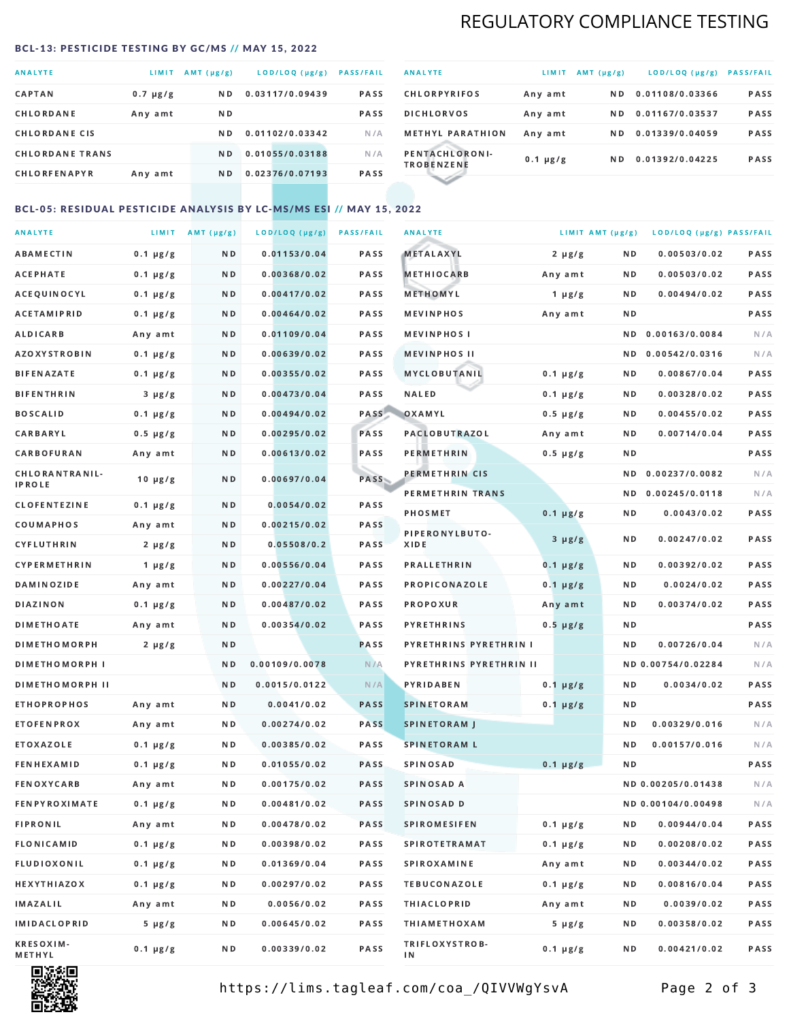# REGULATORY COMPLIANCE TESTING

#### <span id="page-1-0"></span>BCL-13: PESTICIDE TESTING BY GC/MS // MAY 15, 2022

| <b>ANALYTE</b>         | <b>LIMIT</b>  | AMT (µg/g)     | LOD/LOQ (µg/g)  | <b>PASS/FAIL</b> |
|------------------------|---------------|----------------|-----------------|------------------|
| <b>CAPTAN</b>          | $0.7 \mu g/g$ | N <sub>D</sub> | 0.03117/0.09439 | <b>PASS</b>      |
| CHLORDANE              | Any amt       | N D            |                 | <b>PASS</b>      |
| <b>CHLORDANE CIS</b>   |               | ND.            | 0.01102/0.03342 | N/A              |
| <b>CHLORDANE TRANS</b> |               | N <sub>D</sub> | 0.01055/0.03188 | N/A              |
| <b>CHLORFENAPYR</b>    | Any amt       | N D            | 0.02376/0.07193 | <b>PASS</b>      |

| <b>ANALYTE</b>                      | LIMIT         | $AMT(\mu g/g)$ | LOD/LOQ (µg/g)  | <b>PASS/FAIL</b> |
|-------------------------------------|---------------|----------------|-----------------|------------------|
| <b>CHLORPYRIFOS</b>                 | Any amt       | N D            | 0.01108/0.03366 | <b>PASS</b>      |
| <b>DICHLORVOS</b>                   | Any amt       | N D            | 0.01167/0.03537 | <b>PASS</b>      |
| <b>METHYL PARATHION</b>             | Any amt       | ND.            | 0.01339/0.04059 | <b>PASS</b>      |
| PENTACHLORONI-<br><b>TROBENZENE</b> | $0.1 \mu g/g$ | ND.            | 0.01392/0.04225 | <b>PASS</b>      |
|                                     |               |                |                 |                  |

## BCL-05: RESIDUAL PESTICIDE ANALYSIS BY LC-MS/MS ESI // MAY 15, 2022

| <b>ANALYTE</b>             |               | LIMIT AMT $(\mu g/g)$ | LOD/LOQ (µg/g) | <b>PASS/FAIL</b> | <b>ANALYTE</b>          |               | LIMIT AMT (µg/g) | LOD/LOQ (µg/g) PASS/FAIL |      |
|----------------------------|---------------|-----------------------|----------------|------------------|-------------------------|---------------|------------------|--------------------------|------|
| ABAMECTIN                  | $0.1 \mu g/g$ | N D                   | 0.01153/0.04   | PASS             | <b>METALAXYL</b>        | $2 \mu g/g$   | N D              | 0.00503/0.02             | PASS |
| <b>ACEPHATE</b>            | $0.1 \mu g/g$ | N D                   | 0.00368/0.02   | PASS             | <b>METHIOCARB</b>       | Any amt       | N D              | 0.00503/0.02             | PASS |
| ACEQUINOCYL                | $0.1 \mu g/g$ | N D                   | 0.00417/0.02   | PASS             | METHOMYL                | 1 $\mu$ g/g   | N D              | 0.00494/0.02             | PASS |
| ACETAMIPRID                | $0.1 \mu g/g$ | N D                   | 0.00464/0.02   | PASS             | <b>MEVINPHOS</b>        | Any amt       | N D              |                          | PASS |
| <b>ALDICARB</b>            | Any amt       | N D                   | 0.01109/0.04   | PASS             | <b>MEVINPHOSI</b>       |               | N D              | 0.00163/0.0084           | N/A  |
| <b>AZOXYSTROBIN</b>        | $0.1 \mu g/g$ | N D                   | 0.00639/0.02   | PASS             | <b>MEVINPHOS II</b>     |               | N D              | 0.00542/0.0316           | N/A  |
| <b>BIFENAZATE</b>          | $0.1 \mu g/g$ | N D                   | 0.00355/0.02   | PASS             | <b>MYCLOBUTANIL</b>     | $0.1 \mu g/g$ | N D              | 0.00867/0.04             | PASS |
| <b>BIFENTHRIN</b>          | $3 \mu g/g$   | N D                   | 0.00473/0.04   | PASS             | <b>NALED</b>            | $0.1 \mu g/g$ | N D              | 0.00328/0.02             | PASS |
| <b>BOSCALID</b>            | $0.1 \mu g/g$ | N D                   | 0.00494/0.02   | PASS             | OXAMYL                  | $0.5 \mu g/g$ | N D              | 0.00455/0.02             | PASS |
| CARBARYL                   | $0.5 \mu g/g$ | N D                   | 0.00295/0.02   | PASS             | PACLOBUTRAZOL           | Any amt       | N D              | 0.00714/0.04             | PASS |
| CARBOFURAN                 | Any amt       | N D                   | 0.00613/0.02   | PASS             | PERMETHRIN              | $0.5 \mu g/g$ | N D              |                          | PASS |
| CHLORANTRANIL-             | $10 \mu g/g$  | N D                   | 0.00697/0.04   | PASS             | PERMETHRIN CIS          |               | ND.              | 0.00237/0.0082           | N/A  |
| <b>IPROLE</b>              |               |                       |                |                  | PERMETHRIN TRANS        |               |                  | ND 0.00245/0.0118        | N/A  |
| <b>CLOFENTEZINE</b>        | $0.1 \mu g/g$ | ND.                   | 0.0054/0.02    | PASS             | <b>PHOSMET</b>          | $0.1 \mu g/g$ | N D              | 0.0043/0.02              | PASS |
| COUMAPHOS                  | Any amt       | N D                   | 0.00215/0.02   | <b>PASS</b>      | PIPERONYLBUTO-          | $3 \mu g/g$   | N D              | 0.00247/0.02             | PASS |
| CYFLUTHRIN                 | $2 \mu g/g$   | N D                   | 0.05508/0.2    | <b>PASS</b>      | XIDE                    |               |                  |                          |      |
| <b>CYPERMETHRIN</b>        | $1 \mu g/g$   | N D                   | 0.00556/0.04   | PASS             | <b>PRALLETHRIN</b>      | $0.1 \mu g/g$ | N D              | 0.00392/0.02             | PASS |
| <b>DAMINOZIDE</b>          | Any amt       | N D                   | 0.00227/0.04   | PASS             | PROPICONAZOLE           | $0.1 \mu g/g$ | N D              | 0.0024/0.02              | PASS |
| DIAZINON                   | $0.1 \mu g/g$ | N D                   | 0.00487/0.02   | PASS             | <b>PROPOXUR</b>         | Any amt       | N D              | 0.00374/0.02             | PASS |
| <b>DIMETHOATE</b>          | Any amt       | N D                   | 0.00354/0.02   | PASS             | <b>PYRETHRINS</b>       | $0.5 \mu g/g$ | N D              |                          | PASS |
| <b>DIMETHOMORPH</b>        | $2 \mu g/g$   | N D                   |                | PASS             | PYRETHRINS PYRETHRIN I  |               | ND.              | 0.00726/0.04             | N/A  |
| <b>DIMETHOMORPH I</b>      |               | N D                   | 0.00109/0.0078 | N/A              | PYRETHRINS PYRETHRIN II |               |                  | ND 0.00754/0.02284       | N/A  |
| <b>DIMETHOMORPH II</b>     |               | N D                   | 0.0015/0.0122  | N/A              | <b>PYRIDABEN</b>        | $0.1 \mu g/g$ | N D              | 0.0034/0.02              | PASS |
| <b>ETHOPROPHOS</b>         | Any amt       | N D                   | 0.0041/0.02    | <b>PASS</b>      | <b>SPINETORAM</b>       | $0.1 \mu g/g$ | N D              |                          | PASS |
| <b>ETOFENPROX</b>          | Any amt       | ND.                   | 0.00274/0.02   | <b>PASS</b>      | <b>SPINETORAM J</b>     |               | N D              | 0.00329/0.016            | N/A  |
| ETOXAZOLE                  | $0.1 \mu g/g$ | N D                   | 0.00385/0.02   | PASS             | <b>SPINETORAM L</b>     |               | N D              | 0.00157/0.016            | N/A  |
| <b>FENHEXAMID</b>          | $0.1 \mu g/g$ | N D                   | 0.01055/0.02   | PASS             | <b>SPINOSAD</b>         | $0.1 \mu g/g$ | N D              |                          | PASS |
| <b>FENOXYCARB</b>          | Any amt       | N D                   | 0.00175/0.02   | <b>PASS</b>      | SPINOSAD A              |               |                  | ND 0.00205/0.01438       | N/A  |
| <b>FENPYROXIMATE</b>       | $0.1 \mu g/g$ | N D                   | 0.00481/0.02   | PASS             | SPINOSAD D              |               |                  | ND 0.00104/0.00498       | N/A  |
| <b>FIPRONIL</b>            | Any amt       | N D                   | 0.00478/0.02   | PASS             | <b>SPIROMESIFEN</b>     | $0.1 \mu g/g$ | N D              | 0.00944/0.04             | PASS |
| FLONICAMID                 | $0.1 \mu g/g$ | N D                   | 0.00398/0.02   | PASS             | SPIROTETRAMAT           | $0.1 \mu g/g$ | N D              | 0.00208/0.02             | PASS |
| FLUDIOXONIL                | $0.1 \mu g/g$ | N D                   | 0.01369/0.04   | PASS             | <b>SPIROXAMINE</b>      | Any amt       | N D              | 0.00344/0.02             | PASS |
| HEXYTHIAZOX                | $0.1 \mu g/g$ | N D                   | 0.00297/0.02   | PASS             | <b>TEBUCONAZOLE</b>     | $0.1 \mu g/g$ | N D              | 0.00816/0.04             | PASS |
| IMAZALIL                   | Any amt       | N D                   | 0.0056/0.02    | PASS             | <b>THIACLOPRID</b>      | Any amt       | N D              | 0.0039/0.02              | PASS |
| <b>IMIDACLOPRID</b>        | $5 \mu g/g$   | N D                   | 0.00645/0.02   | PASS             | <b>THIAMETHOXAM</b>     | $5 \mu g/g$   | N D              | 0.00358/0.02             | PASS |
| <b>KRESOXIM-</b><br>METHYL | $0.1 \mu g/g$ | N D                   | 0.00339/0.02   | PASS             | TRIFLOXYSTROB-<br>ΙN    | $0.1 \mu g/g$ | N D              | 0.00421/0.02             | PASS |